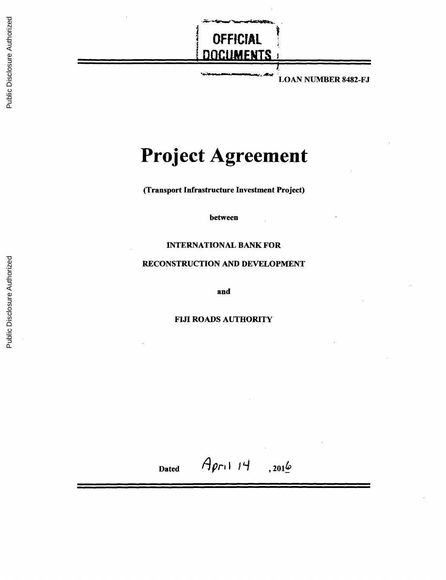

# **Project Agreement**

(Transport Infrastructure Investment Project)

between

#### **INTERNATIONAL** BANK FOR

#### **RECONSTRUCTION AND DEVELOPMENT**

and

#### FIJI ROADS AUTHORITY

Dated  $A_{pr1}$ 14, 2016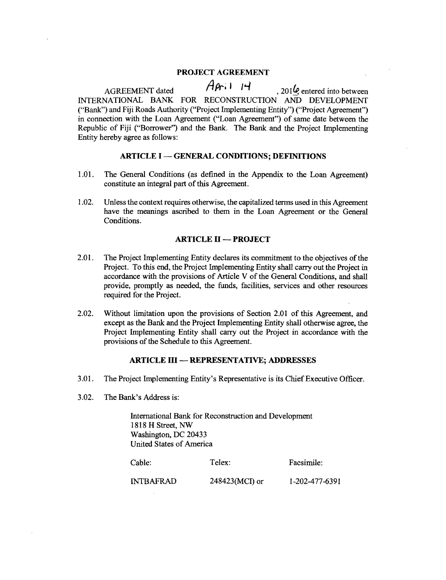#### **PROJECT AGREEMENT**

AGREEMENT dated  $\overrightarrow{A}$  $\overrightarrow{P}$ i 1 1  $\overrightarrow{P}$ , 201 $\overrightarrow{Q}$  entered into between **INTERNATIONAL** BANK FOR RECONSTRUCTION AND DEVELOPMENT ("Bank") and Fiji Roads Authority ("Project Implementing Entity") ("Project Agreement") in connection with the Loan Agreement ("Loan Agreement") of same date between the Republic of Fiji ("Borrower") and the Bank. The Bank

#### **ARTICLE I - GENERAL CONDITIONS; DEFINITIONS**

- *1.01.* The General Conditions (as defined in the Appendix to the Loan Agreement) constitute an integral part of this Agreement.
- 1.02. Unless the context requires otherwise, the capitalized terms used in this Agreement have the meanings ascribed to them in the Loan Agreement or the General Conditions.

#### **ARTICLE** H **- PROJECT**

- 2.01. The Project Implementing Entity declares its commitment to the objectives of the Project. To this end, the Project Implementing Entity shall carry out the Project in accordance with the provisions of Article V of the
- 2.02. Without limitation upon the provisions of Section 2.01 of this Agreement, and except as the Bank and the Project Implementing Entity shall otherwise agree, the Project Implementing Entity shall carry out the Project in accordance with the provisions of the Schedule to this Agreement.

#### **ARTICLE III - REPRESENTATIVE; ADDRESSES**

- **3.01.** The Project Implementing Entity's Representative is its Chief Executive Officer.
- **3.02.** The Bank's Address is:

International Bank for Reconstruction and Development **<sup>1818</sup>**H Street, NW Washington, **DC** 20433 United States of America

| Cable:           | Telex:           | Facsimile:     |
|------------------|------------------|----------------|
| <b>INTBAFRAD</b> | $248423(MCI)$ or | 1-202-477-6391 |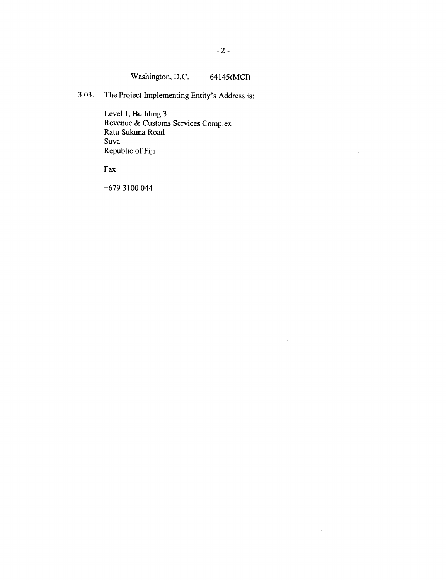$\sim$ 

 $\bar{z}$ 

 $\hat{\mathcal{A}}$ 

 $\hat{\boldsymbol{\beta}}$ 

# Washington, **D.C.** 64145(MCI)

**3.03.** The Project Implementing Entity's Address is:

Level **1,** Building **3** Revenue **&** Customs Services Complex Ratu Sukuna Road Suva Republic of **Fiji**

Fax

**+679 3100** 044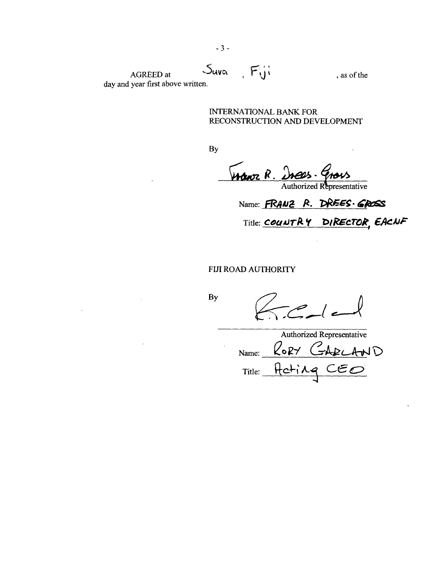AGREED at  $\bigcup_{\alpha} W(\alpha)$ ,  $\overrightarrow{F(y)}$  , as of the day and year first above written.

INTERNATIONAL BANK FOR **RECONSTRUCTION AND DEVELOPMENT**

**By**

Wanz R. Iness. Grous

Name: **FRANZ R. DREES GROSS** Title: **COUNTRY DIRECTOR**, **EACNF** 

FIJI ROAD AUTHORITY

**By**

 $\bar{\mathcal{A}}$ 

 $\leq -\left| c\right|$ 

Authorized Representative Name: RORY CARLAND Title: Heting CEO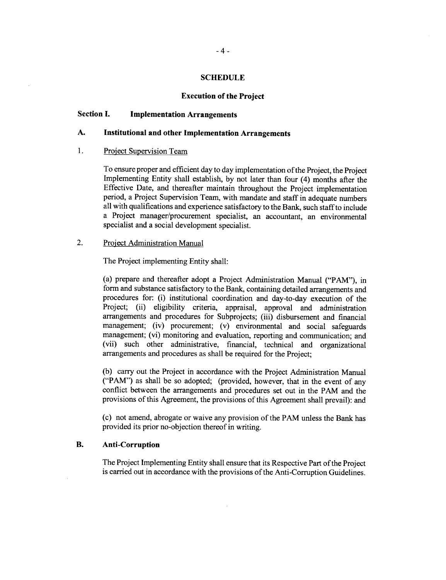#### **SCHEDULE**

#### **Execution of the Project**

#### **Section I. Implementation Arrangements**

#### **A. Institutional and other Implementation Arrangements**

#### 1. Project Supervision Team

To ensure proper and efficient day to day implementation of the Project, the Project Implementing Entity shall establish, **by** not later than four (4) months after the Effective Date, and thereafter maintain throughout the Project implementation period, a Project Supervision Team, with mandate and staff in adequate numbers all with qualifications and experience satisfactory to the Bank, such staff to include a Project manager/procurement specialist, an accountant, an environmental specialist and a social development specialist.

## 2. Project Administration Manual

The Project implementing Entity shall:

(a) prepare and thereafter adopt a Project Administration Manual ("PAM"), in form and substance satisfactory to the Bank, containing detailed arrangements and procedures for: (i) institutional coordination and day-to-day execution of the Project; (ii) eligibility criteria, appraisal, approval and administration arrangements and procedures for Subprojects; (iii) disbursement and financial management; (iv) procurement; (v) environmental and social safeguards management; (vi) monitoring and evaluation, reporting and communication; and (vii) such other administrative, financial, technical and organizational arrangements and procedures as shall be required for the Project;

**(b)** carry out the Project in accordance with the Project Administration Manual ("PAM") as shall be so adopted; (provided, however, that in the event of any conflict between the arrangements and procedures set out in the PAM and the provisions of this Agreement, the provisions of this Agreement shall prevail): and

(c) not amend, abrogate or waive any provision of the PAM unless the Bank has provided its prior no-objection thereof in writing.

#### B. **Anti-Corruption**

The Project Implementing Entity shall ensure that its Respective Part of the Project is carried out in accordance with the provisions of the Anti-Corruption Guidelines.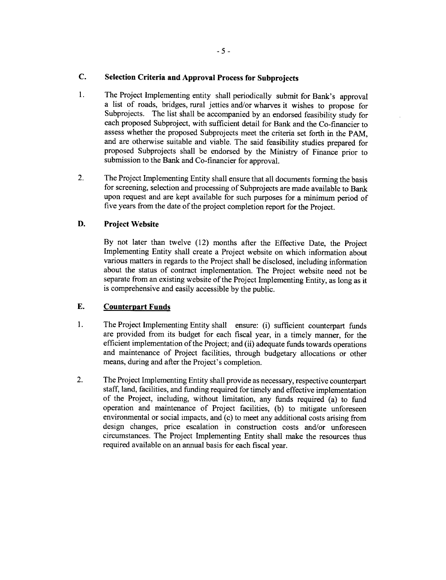# **C. Selection Criteria and Approval Process for Subprojects**

- 1. The Project Implementing entity shall periodically submit for Bank's approval a list of roads, bridges, rural jetties and/or wharves it wishes to propose for Subprojects. The list shall be accompanied **by** an endorsed feasibility study for each proposed Subproject, with sufficient detail for Bank and the Co-financier to assess whether the proposed Subprojects meet the criteria set forth in the PAM. and are otherwise suitable and viable. The said feasibility studies prepared for proposed Subprojects shall be endorsed **by** the Ministry of Finance prior to submission to the Bank and Co-financier for approval.
- 2. The Project Implementing Entity shall ensure that all documents forming the basis for screening, selection and processing of Subprojects are made available to Bank upon request and are kept available for such purposes for a minimum period of five years from the date of the project completion report for the Project.

# **D. Project Website**

**By** not later than twelve (12) months after the Effective Date, the Project Implementing Entity shall create a Project website on which information about various matters in regards to the Project shall be disclosed, including information about the status of contract implementation. The Project website need not be separate from an existing website of the Project Implementing Entity, as long as it is comprehensive and easily accessible **by** the public.

# **E. Counterpart Funds**

- 1. The Project Implementing Entity shall ensure: (i) sufficient counterpart funds are provided from its budget for each fiscal year, in a timely manner, for the efficient implementation of the Project; and (ii) adequate funds towards operations and maintenance of Project facilities, through budgetary allocations or other means, during and after the Project's completion.
- 2. The Project Implementing Entity shall provide as necessary, respective counterpart staff, land, facilities, and funding required for timely and effective implementation of the Project, including, without limitation, any funds required (a) to fund operation and maintenance of Project facilities, **(b)** to mitigate unforeseen environmental or social impacts, and (c) to meet any additional costs arising from design changes, price escalation in construction costs and/or unforeseen circumstances. The Project Implementing Entity shall make the resources thus required available on an annual basis for each fiscal year.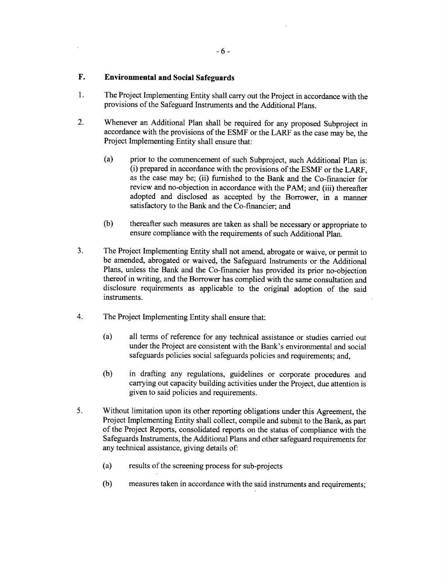# **F. Environmental and Social Safeguards**

- 1. The Project Implementing Entity shall carry out the Project in accordance with the provisions of the Safeguard Instruments and the Additional Plans.
- 2. Whenever an Additional Plan shall be required for any proposed Subproject in accordance with the provisions of the **ESMF** or the LARF as the case may be, the Project Implementing Entity shall ensure that:
	- (a) prior to the commencement of such Subproject, such Additional Plan is: (i) prepared in accordance with the provisions of the **ESMF** or the LARF, as the case may be; (ii) furnished to the Bank and the Co-financier for review and no-objection in accordance with the PAM; and (iii) thereafter adopted and disclosed as accepted **by** the Borrower, in a manner satisfactory to the Bank and the Co-financier; and
	- **(b)** thereafter such measures are taken as shall be necessary or appropriate to ensure compliance with the requirements of such Additional Plan.
- **3.** The Project Implementing Entity shall not amend, abrogate or waive, or permit to be amended, abrogated or waived, the Safeguard Instruments or the Additional Plans, unless the Bank and the Co-financier has provided its prior no-objection thereof in writing, and the Borrower has complied with the same consultation and disclosure requirements as applicable to the original adoption of the said instruments.
- 4. The Project Implementing Entity shall ensure that:
	- (a) all terms of reference for any technical assistance or studies carried out under the Project are consistent with the Bank's environmental and social safeguards policies social safeguards policies and requirements; and,
	- **(b)** in drafting any regulations, guidelines or corporate procedures and carrying out capacity building activities under the Project, due attention is given to said policies and requirements.
- **5.** Without limitation upon its other reporting obligations under this Agreement, the Project Implementing Entity shall collect, compile and submit to the Bank, as part of the Project Reports, consolidated reports on the status of compliance with the Safeguards Instruments, the Additional Plans and other safeguard requirements for any technical assistance, giving details of:
	- (a) results of the screening process for sub-projects
	- **(b)** measures taken in accordance with the said instruments and requirements;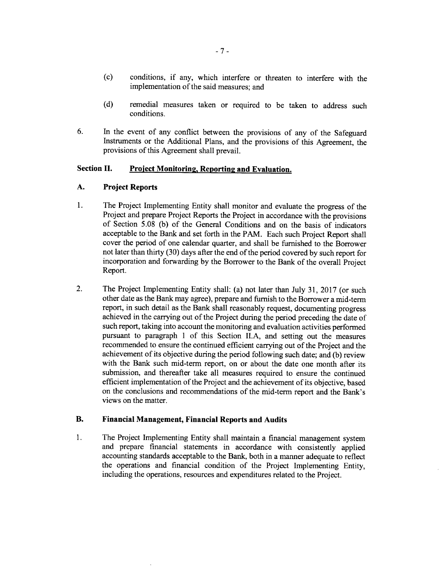- **(c)** conditions, if any, which interfere or threaten to interfere with the implementation of the said measures; and
- **(d)** remedial measures taken or required to be taken to address such conditions.
- **6.** In the event of any conflict between the provisions of any of the Safeguard Instruments or the Additional Plans, and the provisions of this Agreement, the provisions of this Agreement shall prevail.

## **Section II. Project Monitorin2, Reporting and Evaluation.**

#### **A. Project Reports**

- 1. **The** Project Implementing Entity shall monitor and evaluate the progress of the Project and prepare Project Reports the Project in accordance with the provisions of Section **5.08 (b)** of the General Conditions and on the basis of indicators acceptable to the Bank and set forth in the PAM. Each such Project Report shall cover the period of one calendar quarter, and shall be furnished to the Borrower not later than thirty **(30)** days after the end of the period covered **by** such report for incorporation and forwarding **by** the Borrower to the Bank of the overall Project Report.
- 2. The Project Implementing Entity shall: (a) not later than July **31, 2017** (or such other date as the Bank may agree), prepare and furnish to the Borrower a mid-term report, in such detail as the Bank shall reasonably request, documenting progress achieved in the carrying out of the Project during the period preceding the date of such report, taking into account the monitoring and evaluation activities performed pursuant to paragraph 1 of this Section **II.A,** and setting out the measures recommended to ensure the continued efficient carrying out of the Project and the achievement of its objective during the period following such date; and **(b)** review with the Bank such mid-term report, on or about the date one month after its submission, and thereafter take all measures required to ensure the continued efficient implementation of the Project and the achievement of its objective, based on the conclusions and recommendations of the mid-term report and the Bank's views on the matter.

#### B. **Financial Management, Financial Reports and Audits**

1 **.** The Project Implementing Entity shall maintain a financial management system and prepare financial statements in accordance with consistently applied accounting standards acceptable to the Bank, both in a manner adequate to reflect the operations and financial condition of the Project Implementing Entity, including the operations, resources and expenditures related to the Project.